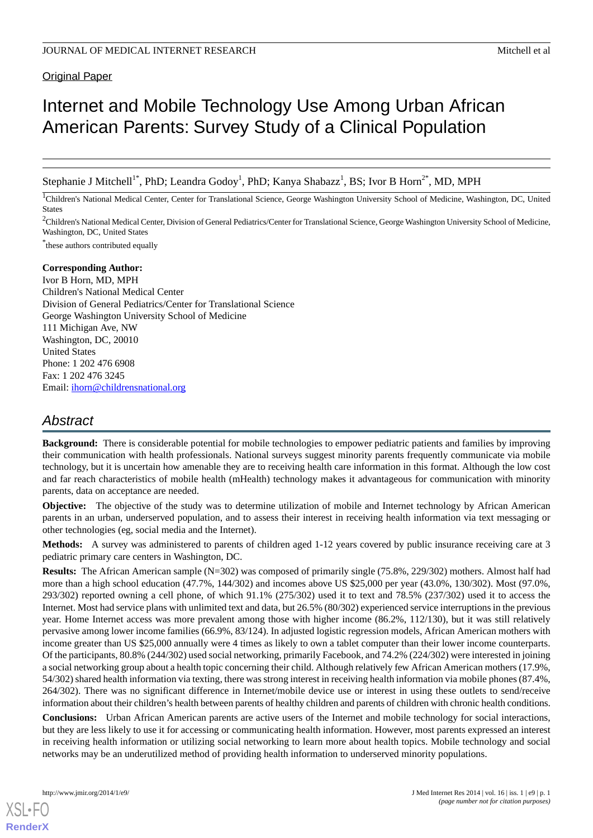#### **Original Paper**

# Internet and Mobile Technology Use Among Urban African American Parents: Survey Study of a Clinical Population

Stephanie J Mitchell<sup>1\*</sup>, PhD; Leandra Godoy<sup>1</sup>, PhD; Kanya Shabazz<sup>1</sup>, BS; Ivor B Horn<sup>2\*</sup>, MD, MPH

<sup>1</sup>Children's National Medical Center, Center for Translational Science, George Washington University School of Medicine, Washington, DC, United States

<sup>2</sup>Children's National Medical Center, Division of General Pediatrics/Center for Translational Science, George Washington University School of Medicine, Washington, DC, United States

\* these authors contributed equally

#### **Corresponding Author:**

Ivor B Horn, MD, MPH Children's National Medical Center Division of General Pediatrics/Center for Translational Science George Washington University School of Medicine 111 Michigan Ave, NW Washington, DC, 20010 United States Phone: 1 202 476 6908 Fax: 1 202 476 3245 Email: [ihorn@childrensnational.org](mailto:ihorn@childrensnational.org)

## *Abstract*

**Background:** There is considerable potential for mobile technologies to empower pediatric patients and families by improving their communication with health professionals. National surveys suggest minority parents frequently communicate via mobile technology, but it is uncertain how amenable they are to receiving health care information in this format. Although the low cost and far reach characteristics of mobile health (mHealth) technology makes it advantageous for communication with minority parents, data on acceptance are needed.

**Objective:** The objective of the study was to determine utilization of mobile and Internet technology by African American parents in an urban, underserved population, and to assess their interest in receiving health information via text messaging or other technologies (eg, social media and the Internet).

**Methods:** A survey was administered to parents of children aged 1-12 years covered by public insurance receiving care at 3 pediatric primary care centers in Washington, DC.

**Results:** The African American sample (N=302) was composed of primarily single (75.8%, 229/302) mothers. Almost half had more than a high school education (47.7%, 144/302) and incomes above US \$25,000 per year (43.0%, 130/302). Most (97.0%, 293/302) reported owning a cell phone, of which 91.1% (275/302) used it to text and 78.5% (237/302) used it to access the Internet. Most had service plans with unlimited text and data, but 26.5% (80/302) experienced service interruptions in the previous year. Home Internet access was more prevalent among those with higher income (86.2%, 112/130), but it was still relatively pervasive among lower income families (66.9%, 83/124). In adjusted logistic regression models, African American mothers with income greater than US \$25,000 annually were 4 times as likely to own a tablet computer than their lower income counterparts. Of the participants, 80.8% (244/302) used social networking, primarily Facebook, and 74.2% (224/302) were interested in joining a social networking group about a health topic concerning their child. Although relatively few African American mothers (17.9%, 54/302) shared health information via texting, there was strong interest in receiving health information via mobile phones (87.4%, 264/302). There was no significant difference in Internet/mobile device use or interest in using these outlets to send/receive information about their children's health between parents of healthy children and parents of children with chronic health conditions.

**Conclusions:** Urban African American parents are active users of the Internet and mobile technology for social interactions, but they are less likely to use it for accessing or communicating health information. However, most parents expressed an interest in receiving health information or utilizing social networking to learn more about health topics. Mobile technology and social networks may be an underutilized method of providing health information to underserved minority populations.

[XSL](http://www.w3.org/Style/XSL)•FO **[RenderX](http://www.renderx.com/)**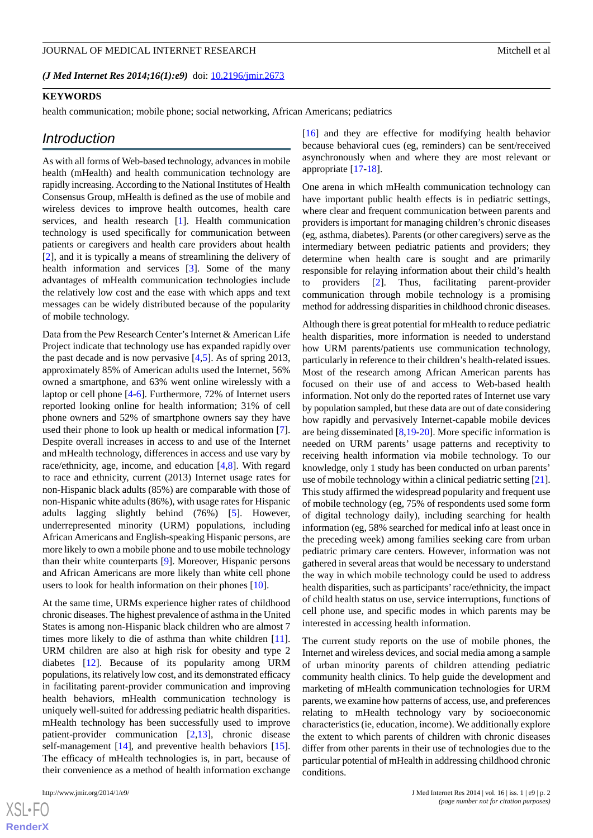*(J Med Internet Res 2014;16(1):e9)* doi:  $10.2196/$ jmir.2673

#### **KEYWORDS**

health communication; mobile phone; social networking, African Americans; pediatrics

#### *Introduction*

As with all forms of Web-based technology, advances in mobile health (mHealth) and health communication technology are rapidly increasing. According to the National Institutes of Health Consensus Group, mHealth is defined as the use of mobile and wireless devices to improve health outcomes, health care services, and health research [[1\]](#page-9-0). Health communication technology is used specifically for communication between patients or caregivers and health care providers about health [[2\]](#page-9-1), and it is typically a means of streamlining the delivery of health information and services [[3\]](#page-9-2). Some of the many advantages of mHealth communication technologies include the relatively low cost and the ease with which apps and text messages can be widely distributed because of the popularity of mobile technology.

Data from the Pew Research Center's Internet & American Life Project indicate that technology use has expanded rapidly over the past decade and is now pervasive [[4](#page-9-3)[,5](#page-9-4)]. As of spring 2013, approximately 85% of American adults used the Internet, 56% owned a smartphone, and 63% went online wirelessly with a laptop or cell phone [[4-](#page-9-3)[6\]](#page-10-0). Furthermore, 72% of Internet users reported looking online for health information; 31% of cell phone owners and 52% of smartphone owners say they have used their phone to look up health or medical information [[7\]](#page-10-1). Despite overall increases in access to and use of the Internet and mHealth technology, differences in access and use vary by race/ethnicity, age, income, and education [\[4](#page-9-3),[8\]](#page-10-2). With regard to race and ethnicity, current (2013) Internet usage rates for non-Hispanic black adults (85%) are comparable with those of non-Hispanic white adults (86%), with usage rates for Hispanic adults lagging slightly behind (76%) [[5\]](#page-9-4). However, underrepresented minority (URM) populations, including African Americans and English-speaking Hispanic persons, are more likely to own a mobile phone and to use mobile technology than their white counterparts [[9\]](#page-10-3). Moreover, Hispanic persons and African Americans are more likely than white cell phone users to look for health information on their phones [\[10](#page-10-4)].

At the same time, URMs experience higher rates of childhood chronic diseases. The highest prevalence of asthma in the United States is among non-Hispanic black children who are almost 7 times more likely to die of asthma than white children [[11\]](#page-10-5). URM children are also at high risk for obesity and type 2 diabetes [\[12](#page-10-6)]. Because of its popularity among URM populations, its relatively low cost, and its demonstrated efficacy in facilitating parent-provider communication and improving health behaviors, mHealth communication technology is uniquely well-suited for addressing pediatric health disparities. mHealth technology has been successfully used to improve patient-provider communication [[2](#page-9-1)[,13](#page-10-7)], chronic disease self-management [\[14](#page-10-8)], and preventive health behaviors [[15\]](#page-10-9). The efficacy of mHealth technologies is, in part, because of their convenience as a method of health information exchange

 $XS$ -FO **[RenderX](http://www.renderx.com/)** [[16\]](#page-10-10) and they are effective for modifying health behavior because behavioral cues (eg, reminders) can be sent/received asynchronously when and where they are most relevant or appropriate [\[17](#page-10-11)[-18](#page-10-12)].

One arena in which mHealth communication technology can have important public health effects is in pediatric settings, where clear and frequent communication between parents and providers is important for managing children's chronic diseases (eg, asthma, diabetes). Parents (or other caregivers) serve as the intermediary between pediatric patients and providers; they determine when health care is sought and are primarily responsible for relaying information about their child's health to providers [\[2](#page-9-1)]. Thus, facilitating parent-provider communication through mobile technology is a promising method for addressing disparities in childhood chronic diseases.

Although there is great potential for mHealth to reduce pediatric health disparities, more information is needed to understand how URM parents/patients use communication technology, particularly in reference to their children's health-related issues. Most of the research among African American parents has focused on their use of and access to Web-based health information. Not only do the reported rates of Internet use vary by population sampled, but these data are out of date considering how rapidly and pervasively Internet-capable mobile devices are being disseminated [\[8,](#page-10-2)[19](#page-10-13)[-20](#page-10-14)]. More specific information is needed on URM parents' usage patterns and receptivity to receiving health information via mobile technology. To our knowledge, only 1 study has been conducted on urban parents' use of mobile technology within a clinical pediatric setting [\[21](#page-10-15)]. This study affirmed the widespread popularity and frequent use of mobile technology (eg, 75% of respondents used some form of digital technology daily), including searching for health information (eg, 58% searched for medical info at least once in the preceding week) among families seeking care from urban pediatric primary care centers. However, information was not gathered in several areas that would be necessary to understand the way in which mobile technology could be used to address health disparities, such as participants'race/ethnicity, the impact of child health status on use, service interruptions, functions of cell phone use, and specific modes in which parents may be interested in accessing health information.

The current study reports on the use of mobile phones, the Internet and wireless devices, and social media among a sample of urban minority parents of children attending pediatric community health clinics. To help guide the development and marketing of mHealth communication technologies for URM parents, we examine how patterns of access, use, and preferences relating to mHealth technology vary by socioeconomic characteristics (ie, education, income). We additionally explore the extent to which parents of children with chronic diseases differ from other parents in their use of technologies due to the particular potential of mHealth in addressing childhood chronic conditions.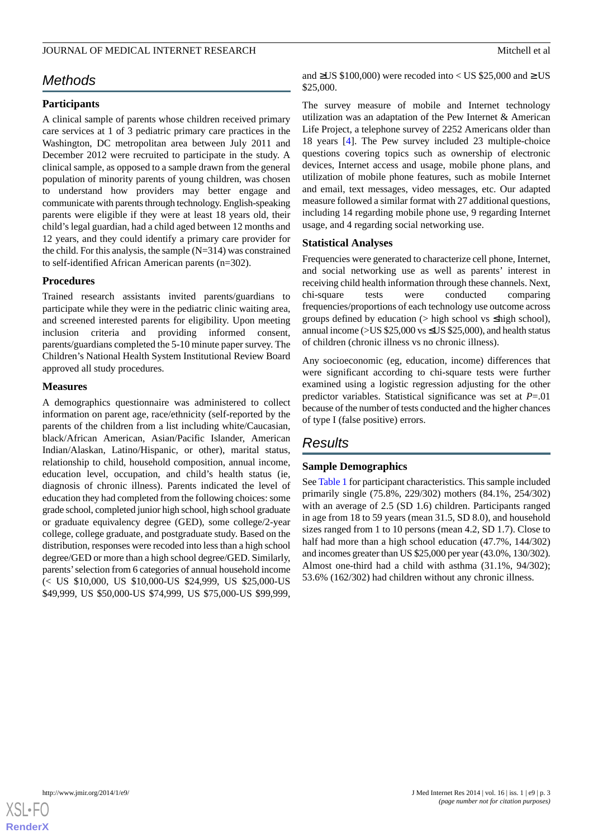## *Methods*

### **Participants**

A clinical sample of parents whose children received primary care services at 1 of 3 pediatric primary care practices in the Washington, DC metropolitan area between July 2011 and December 2012 were recruited to participate in the study. A clinical sample, as opposed to a sample drawn from the general population of minority parents of young children, was chosen to understand how providers may better engage and communicate with parents through technology. English-speaking parents were eligible if they were at least 18 years old, their child's legal guardian, had a child aged between 12 months and 12 years, and they could identify a primary care provider for the child. For this analysis, the sample (N=314) was constrained to self-identified African American parents (n=302).

#### **Procedures**

Trained research assistants invited parents/guardians to participate while they were in the pediatric clinic waiting area, and screened interested parents for eligibility. Upon meeting inclusion criteria and providing informed consent, parents/guardians completed the 5-10 minute paper survey. The Children's National Health System Institutional Review Board approved all study procedures.

#### **Measures**

A demographics questionnaire was administered to collect information on parent age, race/ethnicity (self-reported by the parents of the children from a list including white/Caucasian, black/African American, Asian/Pacific Islander, American Indian/Alaskan, Latino/Hispanic, or other), marital status, relationship to child, household composition, annual income, education level, occupation, and child's health status (ie, diagnosis of chronic illness). Parents indicated the level of education they had completed from the following choices: some grade school, completed junior high school, high school graduate or graduate equivalency degree (GED), some college/2-year college, college graduate, and postgraduate study. Based on the distribution, responses were recoded into less than a high school degree/GED or more than a high school degree/GED. Similarly, parents'selection from 6 categories of annual household income (< US \$10,000, US \$10,000-US \$24,999, US \$25,000-US \$49,999, US \$50,000-US \$74,999, US \$75,000-US \$99,999,

and  $\geq$ US \$100,000) were recoded into < US \$25,000 and  $\geq$  US \$25,000.

The survey measure of mobile and Internet technology utilization was an adaptation of the Pew Internet & American Life Project, a telephone survey of 2252 Americans older than 18 years [[4](#page-9-3)]. The Pew survey included 23 multiple-choice questions covering topics such as ownership of electronic devices, Internet access and usage, mobile phone plans, and utilization of mobile phone features, such as mobile Internet and email, text messages, video messages, etc. Our adapted measure followed a similar format with 27 additional questions, including 14 regarding mobile phone use, 9 regarding Internet usage, and 4 regarding social networking use.

#### **Statistical Analyses**

Frequencies were generated to characterize cell phone, Internet, and social networking use as well as parents' interest in receiving child health information through these channels. Next, chi-square tests were conducted comparing frequencies/proportions of each technology use outcome across groups defined by education ( $>$  high school vs  $\leq$  high school), annual income ( $>$ US \$25,000 vs  $\leq$ US \$25,000), and health status of children (chronic illness vs no chronic illness).

Any socioeconomic (eg, education, income) differences that were significant according to chi-square tests were further examined using a logistic regression adjusting for the other predictor variables. Statistical significance was set at *P*=.01 because of the number of tests conducted and the higher chances of type I (false positive) errors.

## *Results*

#### **Sample Demographics**

See [Table 1](#page-3-0) for participant characteristics. This sample included primarily single (75.8%, 229/302) mothers (84.1%, 254/302) with an average of 2.5 (SD 1.6) children. Participants ranged in age from 18 to 59 years (mean 31.5, SD 8.0), and household sizes ranged from 1 to 10 persons (mean 4.2, SD 1.7). Close to half had more than a high school education (47.7%, 144/302) and incomes greater than US \$25,000 per year (43.0%, 130/302). Almost one-third had a child with asthma (31.1%, 94/302); 53.6% (162/302) had children without any chronic illness.

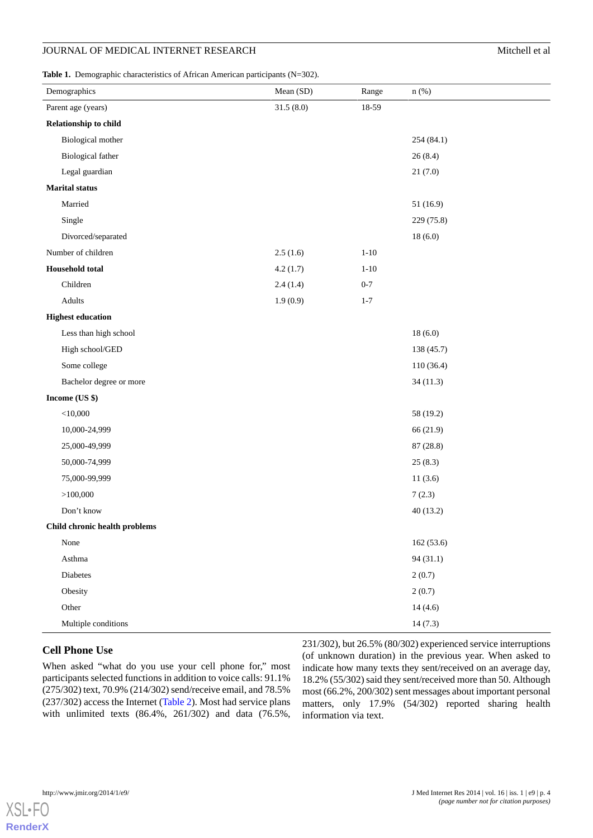<span id="page-3-0"></span>**Table 1.** Demographic characteristics of African American participants (N=302).

| <b>rabic 1.</b> Demographic enaracteristics of Trineam Punctical participants $(11-502)$ .<br>Demographics | Mean (SD) | Range    | $n$ (%)    |
|------------------------------------------------------------------------------------------------------------|-----------|----------|------------|
| Parent age (years)                                                                                         | 31.5(8.0) | 18-59    |            |
| Relationship to child                                                                                      |           |          |            |
| <b>Biological mother</b>                                                                                   |           |          | 254 (84.1) |
| <b>Biological father</b>                                                                                   |           |          | 26(8.4)    |
| Legal guardian                                                                                             |           |          | 21(7.0)    |
| <b>Marital</b> status                                                                                      |           |          |            |
| Married                                                                                                    |           |          | 51 (16.9)  |
| Single                                                                                                     |           |          | 229 (75.8) |
| Divorced/separated                                                                                         |           |          | 18(6.0)    |
| Number of children                                                                                         | 2.5(1.6)  | $1 - 10$ |            |
| <b>Household</b> total                                                                                     | 4.2(1.7)  | $1 - 10$ |            |
| Children                                                                                                   | 2.4(1.4)  | $0 - 7$  |            |
| Adults                                                                                                     | 1.9(0.9)  | $1 - 7$  |            |
| <b>Highest education</b>                                                                                   |           |          |            |
| Less than high school                                                                                      |           |          | 18(6.0)    |
| High school/GED                                                                                            |           |          | 138 (45.7) |
| Some college                                                                                               |           |          | 110 (36.4) |
| Bachelor degree or more                                                                                    |           |          | 34(11.3)   |
| Income (US \$)                                                                                             |           |          |            |
| $<$ 10,000                                                                                                 |           |          | 58 (19.2)  |
| 10,000-24,999                                                                                              |           |          | 66 (21.9)  |
| 25,000-49,999                                                                                              |           |          | 87 (28.8)  |
| 50,000-74,999                                                                                              |           |          | 25(8.3)    |
| 75,000-99,999                                                                                              |           |          | 11(3.6)    |
| >100,000                                                                                                   |           |          | 7(2.3)     |
| Don't know                                                                                                 |           |          | 40(13.2)   |
| Child chronic health problems                                                                              |           |          |            |
| None                                                                                                       |           |          | 162(53.6)  |
| Asthma                                                                                                     |           |          | 94(31.1)   |
| Diabetes                                                                                                   |           |          | 2(0.7)     |
| Obesity                                                                                                    |           |          | 2(0.7)     |
| Other                                                                                                      |           |          | 14(4.6)    |
| Multiple conditions                                                                                        |           |          | 14(7.3)    |

#### **Cell Phone Use**

When asked "what do you use your cell phone for," most participants selected functions in addition to voice calls: 91.1% (275/302) text, 70.9% (214/302) send/receive email, and 78.5% (237/302) access the Internet [\(Table 2](#page-4-0)). Most had service plans with unlimited texts (86.4%, 261/302) and data (76.5%,

231/302), but 26.5% (80/302) experienced service interruptions (of unknown duration) in the previous year. When asked to indicate how many texts they sent/received on an average day, 18.2% (55/302) said they sent/received more than 50. Although most (66.2%, 200/302) sent messages about important personal matters, only 17.9% (54/302) reported sharing health information via text.

**[RenderX](http://www.renderx.com/)**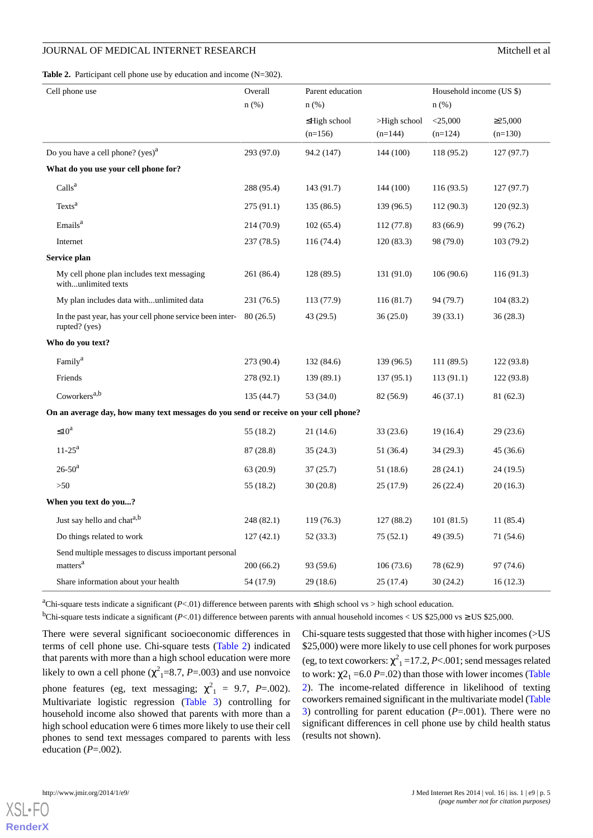<span id="page-4-0"></span>

|  | <b>Table 2.</b> Participant cell phone use by education and income $(N=302)$ . |  |  |  |  |
|--|--------------------------------------------------------------------------------|--|--|--|--|
|--|--------------------------------------------------------------------------------|--|--|--|--|

| Cell phone use                                                                       | Overall<br>n(%) | Parent education<br>n(%)        |                           | Household income (US \$)<br>$n$ (%) |                            |
|--------------------------------------------------------------------------------------|-----------------|---------------------------------|---------------------------|-------------------------------------|----------------------------|
|                                                                                      |                 | $\leq$ High school<br>$(n=156)$ | >High school<br>$(n=144)$ | $<$ 25,000<br>$(n=124)$             | $\geq 25,000$<br>$(n=130)$ |
| Do you have a cell phone? $(yes)^a$                                                  | 293 (97.0)      | 94.2 (147)                      | 144 (100)                 | 118 (95.2)                          | 127(97.7)                  |
| What do you use your cell phone for?                                                 |                 |                                 |                           |                                     |                            |
| Calls <sup>a</sup>                                                                   | 288 (95.4)      | 143 (91.7)                      | 144 (100)                 | 116(93.5)                           | 127(97.7)                  |
| Texts <sup>a</sup>                                                                   | 275 (91.1)      | 135 (86.5)                      | 139 (96.5)                | 112 (90.3)                          | 120(92.3)                  |
| Emails <sup>a</sup>                                                                  | 214 (70.9)      | 102(65.4)                       | 112(77.8)                 | 83 (66.9)                           | 99 (76.2)                  |
| Internet                                                                             | 237 (78.5)      | 116 (74.4)                      | 120(83.3)                 | 98 (79.0)                           | 103(79.2)                  |
| Service plan                                                                         |                 |                                 |                           |                                     |                            |
| My cell phone plan includes text messaging<br>withunlimited texts                    | 261 (86.4)      | 128 (89.5)                      | 131 (91.0)                | 106(90.6)                           | 116(91.3)                  |
| My plan includes data withunlimited data                                             | 231 (76.5)      | 113 (77.9)                      | 116(81.7)                 | 94 (79.7)                           | 104(83.2)                  |
| In the past year, has your cell phone service been inter-<br>rupted? (yes)           | 80(26.5)        | 43 (29.5)                       | 36(25.0)                  | 39 (33.1)                           | 36(28.3)                   |
| Who do you text?                                                                     |                 |                                 |                           |                                     |                            |
| Family <sup>a</sup>                                                                  | 273 (90.4)      | 132 (84.6)                      | 139 (96.5)                | 111 (89.5)                          | 122 (93.8)                 |
| Friends                                                                              | 278 (92.1)      | 139 (89.1)                      | 137(95.1)                 | 113(91.1)                           | 122(93.8)                  |
| Coworkers <sup>a,b</sup>                                                             | 135 (44.7)      | 53 (34.0)                       | 82 (56.9)                 | 46(37.1)                            | 81 (62.3)                  |
| On an average day, how many text messages do you send or receive on your cell phone? |                 |                                 |                           |                                     |                            |
| $\leq 10^a$                                                                          | 55 (18.2)       | 21(14.6)                        | 33(23.6)                  | 19(16.4)                            | 29(23.6)                   |
| $11 - 25^{\rm a}$                                                                    | 87 (28.8)       | 35(24.3)                        | 51 (36.4)                 | 34 (29.3)                           | 45 (36.6)                  |
| $26 - 50^a$                                                                          | 63(20.9)        | 37(25.7)                        | 51(18.6)                  | 28(24.1)                            | 24(19.5)                   |
| $>50$                                                                                | 55 (18.2)       | 30(20.8)                        | 25 (17.9)                 | 26(22.4)                            | 20(16.3)                   |
| When you text do you?                                                                |                 |                                 |                           |                                     |                            |
| Just say hello and chat <sup>a,b</sup>                                               | 248 (82.1)      | 119(76.3)                       | 127(88.2)                 | 101(81.5)                           | 11(85.4)                   |
| Do things related to work                                                            | 127(42.1)       | 52 (33.3)                       | 75(52.1)                  | 49 (39.5)                           | 71 (54.6)                  |
| Send multiple messages to discuss important personal                                 |                 |                                 |                           |                                     |                            |
| matters <sup>a</sup>                                                                 | 200 (66.2)      | 93 (59.6)                       | 106(73.6)                 | 78 (62.9)                           | 97 (74.6)                  |
| Share information about your health                                                  | 54 (17.9)       | 29 (18.6)                       | 25(17.4)                  | 30 (24.2)                           | 16(12.3)                   |

<sup>a</sup>Chi-square tests indicate a significant (*P*<.01) difference between parents with ≤ high school vs > high school education.

<sup>b</sup>Chi-square tests indicate a significant (*P*<.01) difference between parents with annual household incomes < US \$25,000 vs  $\geq$  US \$25,000.

There were several significant socioeconomic differences in terms of cell phone use. Chi-square tests ([Table 2](#page-4-0)) indicated that parents with more than a high school education were more likely to own a cell phone ( $\chi^2$ <sub>1</sub>=8.7, *P*=.003) and use nonvoice phone features (eg, text messaging;  $\chi^2_{1} = 9.7$ , *P*=.002). Multivariate logistic regression ([Table 3](#page-5-0)) controlling for household income also showed that parents with more than a high school education were 6 times more likely to use their cell phones to send text messages compared to parents with less education  $(P=.002)$ .

Chi-square tests suggested that those with higher incomes (>US \$25,000) were more likely to use cell phones for work purposes (eg, to text coworkers:  $\chi^2$ <sub>1</sub> = 17.2, *P*<.001; send messages related to work:  $\chi^2_1$  = 6.0 *P* = .02) than those with lower incomes ([Table](#page-4-0) [2\)](#page-4-0). The income-related difference in likelihood of texting coworkers remained significant in the multivariate model [\(Table](#page-5-0) [3\)](#page-5-0) controlling for parent education (*P*=.001). There were no significant differences in cell phone use by child health status (results not shown).

 $X$ SI • FO **[RenderX](http://www.renderx.com/)**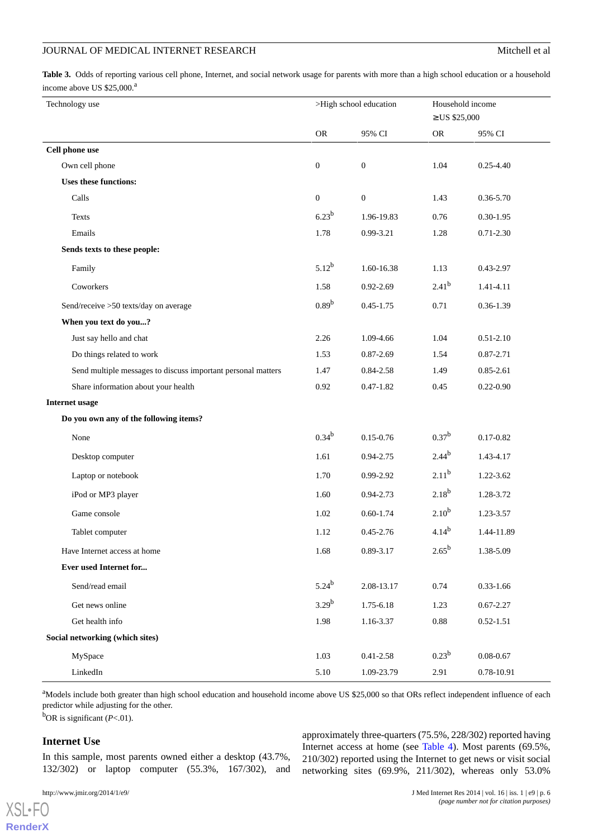<span id="page-5-0"></span>**Table 3.** Odds of reporting various cell phone, Internet, and social network usage for parents with more than a high school education or a household income above US  $$25,000$ .<sup>a</sup>

| Technology use                                               |                  | >High school education |            | Household income<br>$\geq$ US \$25,000 |
|--------------------------------------------------------------|------------------|------------------------|------------|----------------------------------------|
|                                                              | ${\sf OR}$       | 95% CI                 | <b>OR</b>  | 95% CI                                 |
| Cell phone use                                               |                  |                        |            |                                        |
| Own cell phone                                               | $\boldsymbol{0}$ | $\mathbf{0}$           | 1.04       | $0.25 - 4.40$                          |
| <b>Uses these functions:</b>                                 |                  |                        |            |                                        |
| Calls                                                        | $\boldsymbol{0}$ | $\boldsymbol{0}$       | 1.43       | 0.36-5.70                              |
| Texts                                                        | $6.23^{b}$       | 1.96-19.83             | 0.76       | $0.30 - 1.95$                          |
| Emails                                                       | 1.78             | 0.99-3.21              | 1.28       | $0.71 - 2.30$                          |
| Sends texts to these people:                                 |                  |                        |            |                                        |
| Family                                                       | $5.12^{b}$       | 1.60-16.38             | 1.13       | 0.43-2.97                              |
| Coworkers                                                    | 1.58             | $0.92 - 2.69$          | $2.41^{b}$ | 1.41-4.11                              |
| Send/receive >50 texts/day on average                        | $0.89^{b}$       | $0.45 - 1.75$          | 0.71       | $0.36 - 1.39$                          |
| When you text do you?                                        |                  |                        |            |                                        |
| Just say hello and chat                                      | 2.26             | 1.09-4.66              | 1.04       | $0.51 - 2.10$                          |
| Do things related to work                                    | 1.53             | $0.87 - 2.69$          | 1.54       | 0.87-2.71                              |
| Send multiple messages to discuss important personal matters | 1.47             | 0.84-2.58              | 1.49       | $0.85 - 2.61$                          |
| Share information about your health                          | 0.92             | $0.47 - 1.82$          | 0.45       | $0.22 - 0.90$                          |
| <b>Internet usage</b>                                        |                  |                        |            |                                        |
| Do you own any of the following items?                       |                  |                        |            |                                        |
| None                                                         | $0.34^{b}$       | $0.15 - 0.76$          | $0.37^{b}$ | $0.17 - 0.82$                          |
| Desktop computer                                             | 1.61             | 0.94-2.75              | $2.44^{b}$ | 1.43-4.17                              |
| Laptop or notebook                                           | 1.70             | 0.99-2.92              | $2.11^{b}$ | 1.22-3.62                              |
| iPod or MP3 player                                           | 1.60             | $0.94 - 2.73$          | $2.18^{b}$ | 1.28-3.72                              |
| Game console                                                 | 1.02             | $0.60 - 1.74$          | $2.10^{b}$ | 1.23-3.57                              |
| Tablet computer                                              | 1.12             | $0.45 - 2.76$          | $4.14^{b}$ | 1.44-11.89                             |
| Have Internet access at home                                 | 1.68             | 0.89-3.17              | $2.65^{b}$ | 1.38-5.09                              |
| Ever used Internet for                                       |                  |                        |            |                                        |
| Send/read email                                              | $5.24^{b}$       | 2.08-13.17             | 0.74       | $0.33 - 1.66$                          |
| Get news online                                              | $3.29^{b}$       | 1.75-6.18              | 1.23       | $0.67 - 2.27$                          |
| Get health info                                              | 1.98             | 1.16-3.37              | 0.88       | $0.52 - 1.51$                          |
| Social networking (which sites)                              |                  |                        |            |                                        |
| MySpace                                                      | 1.03             | $0.41 - 2.58$          | $0.23^{b}$ | $0.08 - 0.67$                          |
| LinkedIn                                                     | 5.10             | 1.09-23.79             | 2.91       | $0.78 - 10.91$                         |

<sup>a</sup>Models include both greater than high school education and household income above US \$25,000 so that ORs reflect independent influence of each predictor while adjusting for the other.

<sup>b</sup>OR is significant (*P*<.01).

### **Internet Use**

[XSL](http://www.w3.org/Style/XSL)•FO **[RenderX](http://www.renderx.com/)**

In this sample, most parents owned either a desktop (43.7%, 132/302) or laptop computer (55.3%, 167/302), and

approximately three-quarters (75.5%, 228/302) reported having Internet access at home (see [Table 4\)](#page-7-0). Most parents (69.5%, 210/302) reported using the Internet to get news or visit social networking sites (69.9%, 211/302), whereas only 53.0%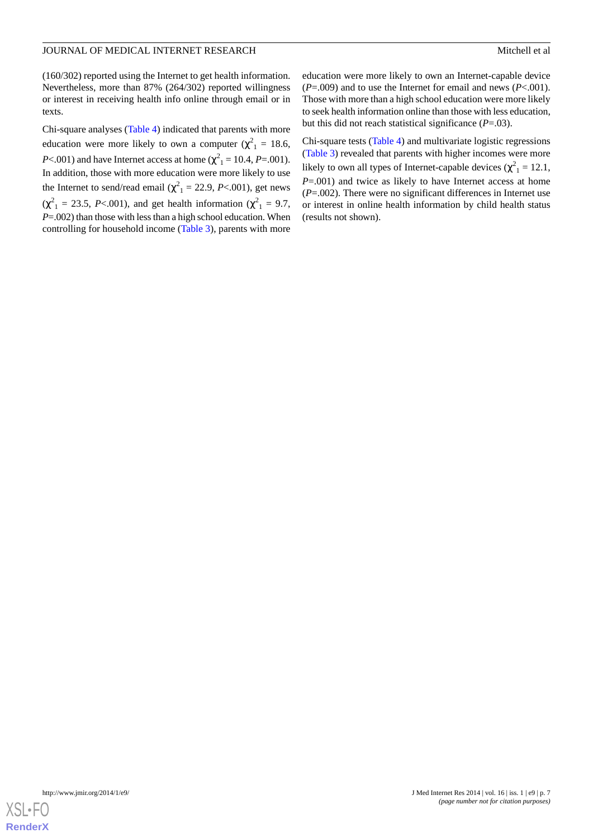(160/302) reported using the Internet to get health information. Nevertheless, more than 87% (264/302) reported willingness or interest in receiving health info online through email or in texts.

Chi-square analyses [\(Table 4\)](#page-7-0) indicated that parents with more education were more likely to own a computer ( $\chi^2$ <sub>1</sub> = 18.6, *P*<.001) and have Internet access at home ( $\chi^2_{1}$  = 10.4, *P*=.001). In addition, those with more education were more likely to use the Internet to send/read email  $(\chi^2_{1} = 22.9, P<.001)$ , get news  $(\chi^2_{1} = 23.5, P<0.01)$ , and get health information  $(\chi^2_{1} = 9.7,$ *P*=.002) than those with less than a high school education. When controlling for household income ([Table 3](#page-5-0)), parents with more

education were more likely to own an Internet-capable device (*P*=.009) and to use the Internet for email and news (*P*<.001). Those with more than a high school education were more likely to seek health information online than those with less education, but this did not reach statistical significance (*P*=.03).

Chi-square tests ([Table 4\)](#page-7-0) and multivariate logistic regressions ([Table 3](#page-5-0)) revealed that parents with higher incomes were more likely to own all types of Internet-capable devices ( $\chi^2$ <sub>1</sub> = 12.1, *P*=.001) and twice as likely to have Internet access at home (*P*=.002). There were no significant differences in Internet use or interest in online health information by child health status (results not shown).

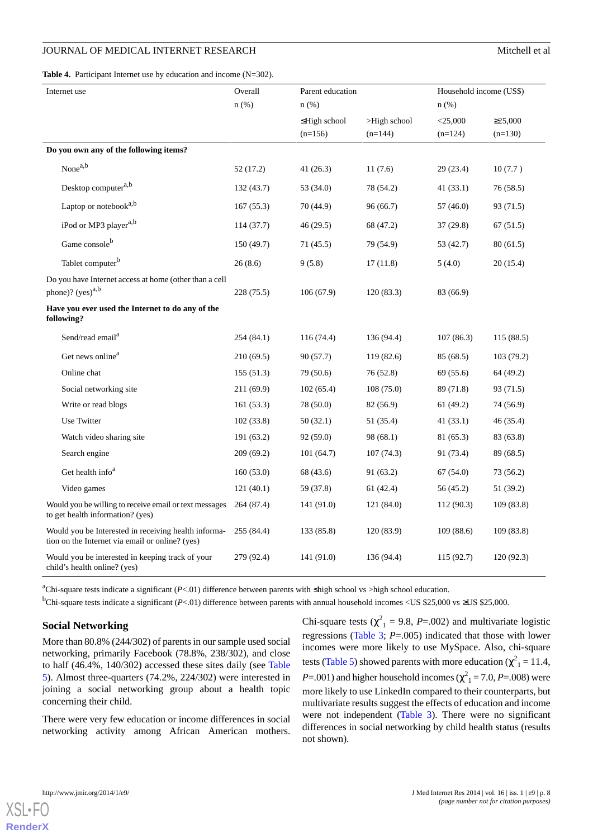<span id="page-7-0"></span>**Table 4.** Participant Internet use by education and income (N=302).

| Internet use                                                                                            | Overall<br>Parent education |                    |                 | Household income (US\$) |               |  |
|---------------------------------------------------------------------------------------------------------|-----------------------------|--------------------|-----------------|-------------------------|---------------|--|
|                                                                                                         | $n$ (%)                     | $n$ (%)            |                 | $n$ (%)                 |               |  |
|                                                                                                         |                             | $\leq$ High school | $>$ High school | $<$ 25,000              | $\geq 25,000$ |  |
|                                                                                                         |                             | $(n=156)$          | $(n=144)$       | $(n=124)$               | $(n=130)$     |  |
| Do you own any of the following items?                                                                  |                             |                    |                 |                         |               |  |
| None <sup>a,b</sup>                                                                                     | 52(17.2)                    | 41(26.3)           | 11(7.6)         | 29 (23.4)               | 10(7.7)       |  |
| Desktop computer <sup>a,b</sup>                                                                         | 132(43.7)                   | 53 (34.0)          | 78 (54.2)       | 41 (33.1)               | 76 (58.5)     |  |
| Laptop or notebook <sup>a,b</sup>                                                                       | 167(55.3)                   | 70 (44.9)          | 96(66.7)        | 57 (46.0)               | 93 (71.5)     |  |
| iPod or MP3 player <sup>a,b</sup>                                                                       | 114(37.7)                   | 46 (29.5)          | 68 (47.2)       | 37 (29.8)               | 67(51.5)      |  |
| Game consoleb                                                                                           | 150 (49.7)                  | 71 (45.5)          | 79 (54.9)       | 53 (42.7)               | 80(61.5)      |  |
| Tablet computer <sup>b</sup>                                                                            | 26(8.6)                     | 9(5.8)             | 17(11.8)        | 5(4.0)                  | 20(15.4)      |  |
| Do you have Internet access at home (other than a cell                                                  |                             |                    |                 |                         |               |  |
| phone)? $(yes)^{a,b}$                                                                                   | 228 (75.5)                  | 106(67.9)          | 120(83.3)       | 83 (66.9)               |               |  |
| Have you ever used the Internet to do any of the<br>following?                                          |                             |                    |                 |                         |               |  |
| Send/read email <sup>a</sup>                                                                            | 254(84.1)                   | 116 (74.4)         | 136 (94.4)      | 107(86.3)               | 115(88.5)     |  |
| Get news online <sup>a</sup>                                                                            | 210(69.5)                   | 90 (57.7)          | 119(82.6)       | 85 (68.5)               | 103(79.2)     |  |
| Online chat                                                                                             | 155(51.3)                   | 79 (50.6)          | 76 (52.8)       | 69 (55.6)               | 64 (49.2)     |  |
| Social networking site                                                                                  | 211(69.9)                   | 102(65.4)          | 108(75.0)       | 89 (71.8)               | 93 (71.5)     |  |
| Write or read blogs                                                                                     | 161 (53.3)                  | 78 (50.0)          | 82 (56.9)       | 61 (49.2)               | 74 (56.9)     |  |
| Use Twitter                                                                                             | 102(33.8)                   | 50(32.1)           | 51 (35.4)       | 41(33.1)                | 46 (35.4)     |  |
| Watch video sharing site                                                                                | 191 (63.2)                  | 92(59.0)           | 98 (68.1)       | 81 (65.3)               | 83 (63.8)     |  |
| Search engine                                                                                           | 209(69.2)                   | 101(64.7)          | 107(74.3)       | 91 (73.4)               | 89 (68.5)     |  |
| Get health info <sup>a</sup>                                                                            | 160(53.0)                   | 68 (43.6)          | 91 (63.2)       | 67(54.0)                | 73 (56.2)     |  |
| Video games                                                                                             | 121(40.1)                   | 59 (37.8)          | 61 (42.4)       | 56 (45.2)               | 51 (39.2)     |  |
| Would you be willing to receive email or text messages<br>to get health information? (yes)              | 264 (87.4)                  | 141 (91.0)         | 121 (84.0)      | 112 (90.3)              | 109 (83.8)    |  |
| Would you be Interested in receiving health informa-<br>tion on the Internet via email or online? (yes) | 255 (84.4)                  | 133 (85.8)         | 120(83.9)       | 109(88.6)               | 109(83.8)     |  |
| Would you be interested in keeping track of your<br>child's health online? (yes)                        | 279 (92.4)                  | 141 (91.0)         | 136 (94.4)      | 115 (92.7)              | 120(92.3)     |  |

<sup>a</sup>Chi-square tests indicate a significant (*P*<.01) difference between parents with ≤high school vs >high school education.

<sup>b</sup>Chi-square tests indicate a significant (*P*<.01) difference between parents with annual household incomes <US \$25,000 vs ≥US \$25,000.

#### **Social Networking**

More than 80.8% (244/302) of parents in our sample used social networking, primarily Facebook (78.8%, 238/302), and close to half (46.4%, 140/302) accessed these sites daily (see [Table](#page-8-0) [5\)](#page-8-0). Almost three-quarters (74.2%, 224/302) were interested in joining a social networking group about a health topic concerning their child.

There were very few education or income differences in social networking activity among African American mothers. Chi-square tests ( $\chi^2$ <sub>1</sub> = 9.8, *P*=.002) and multivariate logistic regressions [\(Table 3](#page-5-0); *P*=.005) indicated that those with lower incomes were more likely to use MySpace. Also, chi-square tests ([Table 5\)](#page-8-0) showed parents with more education ( $\chi^2_{1} = 11.4$ ,  $P = .001$ ) and higher household incomes ( $\chi^2$ <sub>1</sub> = 7.0, *P*=.008) were more likely to use LinkedIn compared to their counterparts, but multivariate results suggest the effects of education and income were not independent ([Table 3\)](#page-5-0). There were no significant differences in social networking by child health status (results not shown).

 $X$ SL•FO **[RenderX](http://www.renderx.com/)**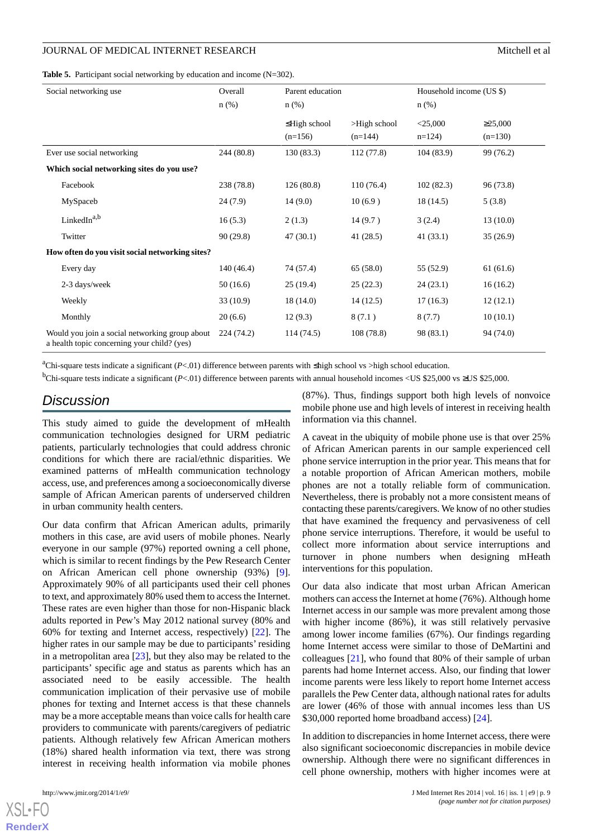<span id="page-8-0"></span>**Table 5.** Participant social networking by education and income (N=302).

| Social networking use                                                                         | Overall<br>n(%) | Parent education<br>$n$ (%)     |                              | Household income (US \$)<br>$n$ (%) |                            |
|-----------------------------------------------------------------------------------------------|-----------------|---------------------------------|------------------------------|-------------------------------------|----------------------------|
|                                                                                               |                 | $\leq$ High school<br>$(n=156)$ | $>$ High school<br>$(n=144)$ | $<$ 25,000<br>$n=124$               | $\geq 25,000$<br>$(n=130)$ |
| Ever use social networking                                                                    | 244 (80.8)      | 130(83.3)                       | 112(77.8)                    | 104(83.9)                           | 99 (76.2)                  |
| Which social networking sites do you use?                                                     |                 |                                 |                              |                                     |                            |
| Facebook                                                                                      | 238 (78.8)      | 126(80.8)                       | 110(76.4)                    | 102(82.3)                           | 96 (73.8)                  |
| MySpaceb                                                                                      | 24(7.9)         | 14(9.0)                         | 10(6.9)                      | 18(14.5)                            | 5(3.8)                     |
| LinkedIn <sup>a,b</sup>                                                                       | 16(5.3)         | 2(1.3)                          | 14(9.7)                      | 3(2.4)                              | 13(10.0)                   |
| Twitter                                                                                       | 90(29.8)        | 47(30.1)                        | 41(28.5)                     | 41(33.1)                            | 35(26.9)                   |
| How often do you visit social networking sites?                                               |                 |                                 |                              |                                     |                            |
| Every day                                                                                     | 140(46.4)       | 74 (57.4)                       | 65(58.0)                     | 55 (52.9)                           | 61(61.6)                   |
| 2-3 days/week                                                                                 | 50(16.6)        | 25(19.4)                        | 25(22.3)                     | 24(23.1)                            | 16(16.2)                   |
| Weekly                                                                                        | 33(10.9)        | 18(14.0)                        | 14(12.5)                     | 17(16.3)                            | 12(12.1)                   |
| Monthly                                                                                       | 20(6.6)         | 12(9.3)                         | 8(7.1)                       | 8(7.7)                              | 10(10.1)                   |
| Would you join a social networking group about<br>a health topic concerning your child? (yes) | 224 (74.2)      | 114(74.5)                       | 108(78.8)                    | 98 (83.1)                           | 94 (74.0)                  |

<sup>a</sup>Chi-square tests indicate a significant (*P*<.01) difference between parents with ≤high school vs >high school education.

<sup>b</sup>Chi-square tests indicate a significant (*P*<.01) difference between parents with annual household incomes <US \$25,000 vs ≥US \$25,000.

## *Discussion*

This study aimed to guide the development of mHealth communication technologies designed for URM pediatric patients, particularly technologies that could address chronic conditions for which there are racial/ethnic disparities. We examined patterns of mHealth communication technology access, use, and preferences among a socioeconomically diverse sample of African American parents of underserved children in urban community health centers.

Our data confirm that African American adults, primarily mothers in this case, are avid users of mobile phones. Nearly everyone in our sample (97%) reported owning a cell phone, which is similar to recent findings by the Pew Research Center on African American cell phone ownership (93%) [[9\]](#page-10-3). Approximately 90% of all participants used their cell phones to text, and approximately 80% used them to access the Internet. These rates are even higher than those for non-Hispanic black adults reported in Pew's May 2012 national survey (80% and 60% for texting and Internet access, respectively) [\[22](#page-10-16)]. The higher rates in our sample may be due to participants' residing in a metropolitan area  $[23]$  $[23]$ , but they also may be related to the participants' specific age and status as parents which has an associated need to be easily accessible. The health communication implication of their pervasive use of mobile phones for texting and Internet access is that these channels may be a more acceptable means than voice calls for health care providers to communicate with parents/caregivers of pediatric patients. Although relatively few African American mothers (18%) shared health information via text, there was strong interest in receiving health information via mobile phones

[XSL](http://www.w3.org/Style/XSL)•FO **[RenderX](http://www.renderx.com/)**

(87%). Thus, findings support both high levels of nonvoice mobile phone use and high levels of interest in receiving health information via this channel.

A caveat in the ubiquity of mobile phone use is that over 25% of African American parents in our sample experienced cell phone service interruption in the prior year. This means that for a notable proportion of African American mothers, mobile phones are not a totally reliable form of communication. Nevertheless, there is probably not a more consistent means of contacting these parents/caregivers. We know of no other studies that have examined the frequency and pervasiveness of cell phone service interruptions. Therefore, it would be useful to collect more information about service interruptions and turnover in phone numbers when designing mHeath interventions for this population.

Our data also indicate that most urban African American mothers can access the Internet at home (76%). Although home Internet access in our sample was more prevalent among those with higher income (86%), it was still relatively pervasive among lower income families (67%). Our findings regarding home Internet access were similar to those of DeMartini and colleagues [[21\]](#page-10-15), who found that 80% of their sample of urban parents had home Internet access. Also, our finding that lower income parents were less likely to report home Internet access parallels the Pew Center data, although national rates for adults are lower (46% of those with annual incomes less than US \$30,000 reported home broadband access) [[24\]](#page-10-18).

In addition to discrepancies in home Internet access, there were also significant socioeconomic discrepancies in mobile device ownership. Although there were no significant differences in cell phone ownership, mothers with higher incomes were at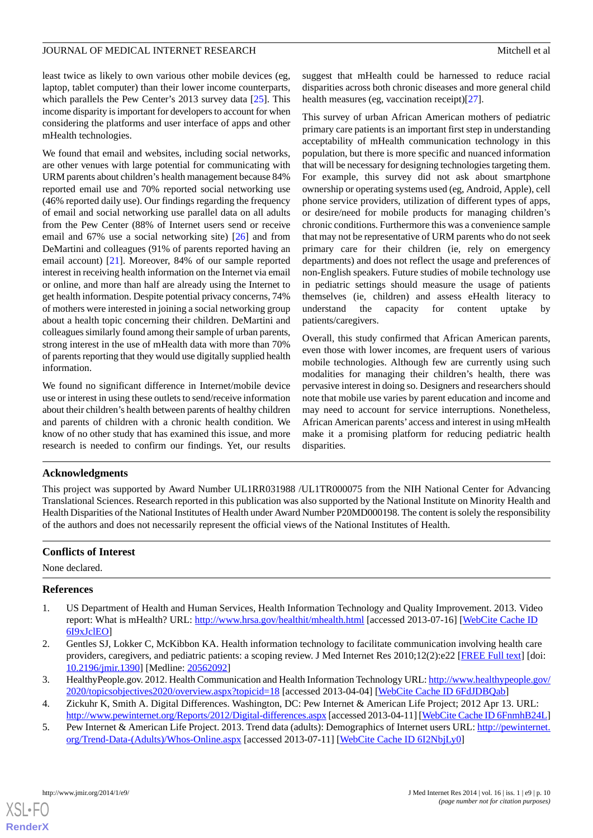least twice as likely to own various other mobile devices (eg, laptop, tablet computer) than their lower income counterparts, which parallels the Pew Center's 2013 survey data [[25\]](#page-10-19). This income disparity is important for developers to account for when considering the platforms and user interface of apps and other mHealth technologies.

We found that email and websites, including social networks, are other venues with large potential for communicating with URM parents about children's health management because 84% reported email use and 70% reported social networking use (46% reported daily use). Our findings regarding the frequency of email and social networking use parallel data on all adults from the Pew Center (88% of Internet users send or receive email and 67% use a social networking site) [\[26](#page-10-20)] and from DeMartini and colleagues (91% of parents reported having an email account) [\[21](#page-10-15)]. Moreover, 84% of our sample reported interest in receiving health information on the Internet via email or online, and more than half are already using the Internet to get health information. Despite potential privacy concerns, 74% of mothers were interested in joining a social networking group about a health topic concerning their children. DeMartini and colleagues similarly found among their sample of urban parents, strong interest in the use of mHealth data with more than 70% of parents reporting that they would use digitally supplied health information.

We found no significant difference in Internet/mobile device use or interest in using these outlets to send/receive information about their children's health between parents of healthy children and parents of children with a chronic health condition. We know of no other study that has examined this issue, and more research is needed to confirm our findings. Yet, our results

suggest that mHealth could be harnessed to reduce racial disparities across both chronic diseases and more general child health measures (eg, vaccination receipt)[\[27](#page-10-21)].

This survey of urban African American mothers of pediatric primary care patients is an important first step in understanding acceptability of mHealth communication technology in this population, but there is more specific and nuanced information that will be necessary for designing technologies targeting them. For example, this survey did not ask about smartphone ownership or operating systems used (eg, Android, Apple), cell phone service providers, utilization of different types of apps, or desire/need for mobile products for managing children's chronic conditions. Furthermore this was a convenience sample that may not be representative of URM parents who do not seek primary care for their children (ie, rely on emergency departments) and does not reflect the usage and preferences of non-English speakers. Future studies of mobile technology use in pediatric settings should measure the usage of patients themselves (ie, children) and assess eHealth literacy to understand the capacity for content uptake by patients/caregivers.

Overall, this study confirmed that African American parents, even those with lower incomes, are frequent users of various mobile technologies. Although few are currently using such modalities for managing their children's health, there was pervasive interest in doing so. Designers and researchers should note that mobile use varies by parent education and income and may need to account for service interruptions. Nonetheless, African American parents' access and interest in using mHealth make it a promising platform for reducing pediatric health disparities.

#### **Acknowledgments**

This project was supported by Award Number UL1RR031988 /UL1TR000075 from the NIH National Center for Advancing Translational Sciences. Research reported in this publication was also supported by the National Institute on Minority Health and Health Disparities of the National Institutes of Health under Award Number P20MD000198. The content is solely the responsibility of the authors and does not necessarily represent the official views of the National Institutes of Health.

#### <span id="page-9-0"></span>**Conflicts of Interest**

None declared.

#### <span id="page-9-1"></span>**References**

- <span id="page-9-2"></span>1. US Department of Health and Human Services, Health Information Technology and Quality Improvement. 2013. Video report: What is mHealth? URL: <http://www.hrsa.gov/healthit/mhealth.html> [accessed 2013-07-16] [[WebCite Cache ID](http://www.webcitation.org/

                                    6I9xJclEO) [6I9xJclEO](http://www.webcitation.org/

                                    6I9xJclEO)]
- <span id="page-9-4"></span><span id="page-9-3"></span>2. Gentles SJ, Lokker C, McKibbon KA. Health information technology to facilitate communication involving health care providers, caregivers, and pediatric patients: a scoping review. J Med Internet Res 2010;12(2):e22 [[FREE Full text](http://www.jmir.org/2010/2/e22/)] [doi: [10.2196/jmir.1390](http://dx.doi.org/10.2196/jmir.1390)] [Medline: [20562092](http://www.ncbi.nlm.nih.gov/entrez/query.fcgi?cmd=Retrieve&db=PubMed&list_uids=20562092&dopt=Abstract)]
- 3. HealthyPeople.gov. 2012. Health Communication and Health Information Technology URL: [http://www.healthypeople.gov/](http://www.healthypeople.gov/2020/topicsobjectives2020/overview.aspx?topicid=18) [2020/topicsobjectives2020/overview.aspx?topicid=18](http://www.healthypeople.gov/2020/topicsobjectives2020/overview.aspx?topicid=18) [accessed 2013-04-04] [[WebCite Cache ID 6FdJDBQab\]](http://www.webcitation.org/

                                    6FdJDBQab)
- 4. Zickuhr K, Smith A. Digital Differences. Washington, DC: Pew Internet & American Life Project; 2012 Apr 13. URL: <http://www.pewinternet.org/Reports/2012/Digital-differences.aspx> [accessed 2013-04-11] [[WebCite Cache ID 6FnmhB24L\]](http://www.webcitation.org/

                                    6FnmhB24L)
- 5. Pew Internet & American Life Project. 2013. Trend data (adults): Demographics of Internet users URL: [http://pewinternet.](http://pewinternet.org/Trend-Data-(Adults)/Whos-Online.aspx) [org/Trend-Data-\(Adults\)/Whos-Online.aspx](http://pewinternet.org/Trend-Data-(Adults)/Whos-Online.aspx) [accessed 2013-07-11] [[WebCite Cache ID 6I2NbjLy0](http://www.webcitation.org/

                                    6I2NbjLy0)]

**[RenderX](http://www.renderx.com/)**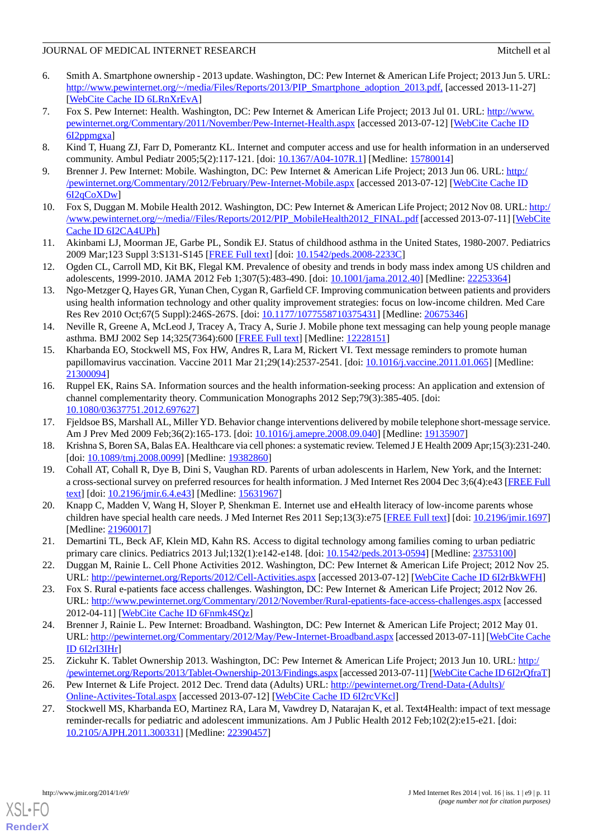- <span id="page-10-0"></span>6. Smith A. Smartphone ownership - 2013 update. Washington, DC: Pew Internet & American Life Project; 2013 Jun 5. URL: [http://www.pewinternet.org/~/media/Files/Reports/2013/PIP\\_Smartphone\\_adoption\\_2013.pdf,](http://www.pewinternet.org/~/media/Files/Reports/2013/PIP_Smartphone_adoption_2013.pdf,) [accessed 2013-11-27] [[WebCite Cache ID 6LRnXrEvA](http://www.webcitation.org/

                                    6LRnXrEvA)]
- <span id="page-10-1"></span>7. Fox S. Pew Internet: Health. Washington, DC: Pew Internet & American Life Project; 2013 Jul 01. URL: [http://www.](http://www.pewinternet.org/Commentary/2011/November/Pew-Internet-Health.aspx) [pewinternet.org/Commentary/2011/November/Pew-Internet-Health.aspx](http://www.pewinternet.org/Commentary/2011/November/Pew-Internet-Health.aspx) [accessed 2013-07-12] [[WebCite Cache ID](http://www.webcitation.org/

                                    6I2ppmgxa) [6I2ppmgxa](http://www.webcitation.org/

                                    6I2ppmgxa)]
- <span id="page-10-3"></span><span id="page-10-2"></span>8. Kind T, Huang ZJ, Farr D, Pomerantz KL. Internet and computer access and use for health information in an underserved community. Ambul Pediatr 2005;5(2):117-121. [doi: [10.1367/A04-107R.1](http://dx.doi.org/10.1367/A04-107R.1)] [Medline: [15780014](http://www.ncbi.nlm.nih.gov/entrez/query.fcgi?cmd=Retrieve&db=PubMed&list_uids=15780014&dopt=Abstract)]
- <span id="page-10-4"></span>9. Brenner J. Pew Internet: Mobile. Washington, DC: Pew Internet & American Life Project; 2013 Jun 06. URL: [http:/](http://pewinternet.org/Commentary/2012/February/Pew-Internet-Mobile.aspx) [/pewinternet.org/Commentary/2012/February/Pew-Internet-Mobile.aspx](http://pewinternet.org/Commentary/2012/February/Pew-Internet-Mobile.aspx) [accessed 2013-07-12] [[WebCite Cache ID](http://www.webcitation.org/

                                    6I2qCoXDw) [6I2qCoXDw](http://www.webcitation.org/

                                    6I2qCoXDw)]
- <span id="page-10-5"></span>10. Fox S, Duggan M. Mobile Health 2012. Washington, DC: Pew Internet & American Life Project; 2012 Nov 08. URL: [http:/](http://www.pewinternet.org/~/media//Files/Reports/2012/PIP_MobileHealth2012_FINAL.pdf) [/www.pewinternet.org/~/media//Files/Reports/2012/PIP\\_MobileHealth2012\\_FINAL.pdf](http://www.pewinternet.org/~/media//Files/Reports/2012/PIP_MobileHealth2012_FINAL.pdf) [accessed 2013-07-11] [\[WebCite](http://www.webcitation.org/

                                    6I2CA4UPh) [Cache ID 6I2CA4UPh](http://www.webcitation.org/

                                    6I2CA4UPh)]
- <span id="page-10-6"></span>11. Akinbami LJ, Moorman JE, Garbe PL, Sondik EJ. Status of childhood asthma in the United States, 1980-2007. Pediatrics 2009 Mar;123 Suppl 3:S131-S145 [[FREE Full text](http://pediatrics.aappublications.org/cgi/pmidlookup?view=long&pmid=19221156)] [doi: [10.1542/peds.2008-2233C\]](http://dx.doi.org/10.1542/peds.2008-2233C)
- <span id="page-10-7"></span>12. Ogden CL, Carroll MD, Kit BK, Flegal KM. Prevalence of obesity and trends in body mass index among US children and adolescents, 1999-2010. JAMA 2012 Feb 1;307(5):483-490. [doi: [10.1001/jama.2012.40\]](http://dx.doi.org/10.1001/jama.2012.40) [Medline: [22253364\]](http://www.ncbi.nlm.nih.gov/entrez/query.fcgi?cmd=Retrieve&db=PubMed&list_uids=22253364&dopt=Abstract)
- <span id="page-10-8"></span>13. Ngo-Metzger Q, Hayes GR, Yunan Chen, Cygan R, Garfield CF. Improving communication between patients and providers using health information technology and other quality improvement strategies: focus on low-income children. Med Care Res Rev 2010 Oct;67(5 Suppl):246S-267S. [doi: [10.1177/1077558710375431](http://dx.doi.org/10.1177/1077558710375431)] [Medline: [20675346](http://www.ncbi.nlm.nih.gov/entrez/query.fcgi?cmd=Retrieve&db=PubMed&list_uids=20675346&dopt=Abstract)]
- <span id="page-10-9"></span>14. Neville R, Greene A, McLeod J, Tracey A, Tracy A, Surie J. Mobile phone text messaging can help young people manage asthma. BMJ 2002 Sep 14;325(7364):600 [[FREE Full text](http://europepmc.org/abstract/MED/12228151)] [Medline: [12228151](http://www.ncbi.nlm.nih.gov/entrez/query.fcgi?cmd=Retrieve&db=PubMed&list_uids=12228151&dopt=Abstract)]
- <span id="page-10-10"></span>15. Kharbanda EO, Stockwell MS, Fox HW, Andres R, Lara M, Rickert VI. Text message reminders to promote human papillomavirus vaccination. Vaccine 2011 Mar 21;29(14):2537-2541. [doi: [10.1016/j.vaccine.2011.01.065\]](http://dx.doi.org/10.1016/j.vaccine.2011.01.065) [Medline: [21300094](http://www.ncbi.nlm.nih.gov/entrez/query.fcgi?cmd=Retrieve&db=PubMed&list_uids=21300094&dopt=Abstract)]
- <span id="page-10-12"></span><span id="page-10-11"></span>16. Ruppel EK, Rains SA. Information sources and the health information-seeking process: An application and extension of channel complementarity theory. Communication Monographs 2012 Sep;79(3):385-405. [doi: [10.1080/03637751.2012.697627\]](http://dx.doi.org/10.1080/03637751.2012.697627)
- <span id="page-10-13"></span>17. Fjeldsoe BS, Marshall AL, Miller YD. Behavior change interventions delivered by mobile telephone short-message service. Am J Prev Med 2009 Feb;36(2):165-173. [doi: [10.1016/j.amepre.2008.09.040\]](http://dx.doi.org/10.1016/j.amepre.2008.09.040) [Medline: [19135907](http://www.ncbi.nlm.nih.gov/entrez/query.fcgi?cmd=Retrieve&db=PubMed&list_uids=19135907&dopt=Abstract)]
- <span id="page-10-14"></span>18. Krishna S, Boren SA, Balas EA. Healthcare via cell phones: a systematic review. Telemed J E Health 2009 Apr;15(3):231-240. [doi: [10.1089/tmj.2008.0099\]](http://dx.doi.org/10.1089/tmj.2008.0099) [Medline: [19382860](http://www.ncbi.nlm.nih.gov/entrez/query.fcgi?cmd=Retrieve&db=PubMed&list_uids=19382860&dopt=Abstract)]
- <span id="page-10-15"></span>19. Cohall AT, Cohall R, Dye B, Dini S, Vaughan RD. Parents of urban adolescents in Harlem, New York, and the Internet: a cross-sectional survey on preferred resources for health information. J Med Internet Res 2004 Dec 3;6(4):e43 [\[FREE Full](http://www.jmir.org/2004/4/e43/) [text](http://www.jmir.org/2004/4/e43/)] [doi: [10.2196/jmir.6.4.e43\]](http://dx.doi.org/10.2196/jmir.6.4.e43) [Medline: [15631967\]](http://www.ncbi.nlm.nih.gov/entrez/query.fcgi?cmd=Retrieve&db=PubMed&list_uids=15631967&dopt=Abstract)
- <span id="page-10-16"></span>20. Knapp C, Madden V, Wang H, Sloyer P, Shenkman E. Internet use and eHealth literacy of low-income parents whose children have special health care needs. J Med Internet Res 2011 Sep;13(3):e75 [\[FREE Full text\]](http://www.jmir.org/2011/3/e75/) [doi: [10.2196/jmir.1697](http://dx.doi.org/10.2196/jmir.1697)] [Medline: [21960017](http://www.ncbi.nlm.nih.gov/entrez/query.fcgi?cmd=Retrieve&db=PubMed&list_uids=21960017&dopt=Abstract)]
- <span id="page-10-17"></span>21. Demartini TL, Beck AF, Klein MD, Kahn RS. Access to digital technology among families coming to urban pediatric primary care clinics. Pediatrics 2013 Jul;132(1):e142-e148. [doi: [10.1542/peds.2013-0594](http://dx.doi.org/10.1542/peds.2013-0594)] [Medline: [23753100](http://www.ncbi.nlm.nih.gov/entrez/query.fcgi?cmd=Retrieve&db=PubMed&list_uids=23753100&dopt=Abstract)]
- <span id="page-10-18"></span>22. Duggan M, Rainie L. Cell Phone Activities 2012. Washington, DC: Pew Internet & American Life Project; 2012 Nov 25. URL: <http://pewinternet.org/Reports/2012/Cell-Activities.aspx> [accessed 2013-07-12] [\[WebCite Cache ID 6I2rBkWFH\]](http://www.webcitation.org/

                                    6I2rBkWFH)
- <span id="page-10-19"></span>23. Fox S. Rural e-patients face access challenges. Washington, DC: Pew Internet & American Life Project; 2012 Nov 26. URL: <http://www.pewinternet.org/Commentary/2012/November/Rural-epatients-face-access-challenges.aspx> [accessed 2012-04-11] [\[WebCite Cache ID 6Fnmk4SQz\]](http://www.webcitation.org/

                                    6Fnmk4SQz)
- <span id="page-10-21"></span><span id="page-10-20"></span>24. Brenner J, Rainie L. Pew Internet: Broadband. Washington, DC: Pew Internet & American Life Project; 2012 May 01. URL:<http://pewinternet.org/Commentary/2012/May/Pew-Internet-Broadband.aspx> [accessed 2013-07-11] [[WebCite Cache](http://www.webcitation.org/

                                    6I2rI3IHr) [ID 6I2rI3IHr](http://www.webcitation.org/

                                    6I2rI3IHr)]
- 25. Zickuhr K. Tablet Ownership 2013. Washington, DC: Pew Internet & American Life Project; 2013 Jun 10. URL: [http:/](http://pewinternet.org/Reports/2013/Tablet-Ownership-2013/Findings.aspx) [/pewinternet.org/Reports/2013/Tablet-Ownership-2013/Findings.aspx](http://pewinternet.org/Reports/2013/Tablet-Ownership-2013/Findings.aspx) [accessed 2013-07-11] [[WebCite Cache ID 6I2rQfraT\]](http://www.webcitation.org/

                                    6I2rQfraT)
- 26. Pew Internet & Life Project. 2012 Dec. Trend data (Adults) URL: [http://pewinternet.org/Trend-Data-\(Adults\)/](http://pewinternet.org/Trend-Data-(Adults)/Online-Activites-Total.aspx) [Online-Activites-Total.aspx](http://pewinternet.org/Trend-Data-(Adults)/Online-Activites-Total.aspx) [accessed 2013-07-12] [\[WebCite Cache ID 6I2rcVKcl](http://www.webcitation.org/

                                    6I2rcVKcl)]
- 27. Stockwell MS, Kharbanda EO, Martinez RA, Lara M, Vawdrey D, Natarajan K, et al. Text4Health: impact of text message reminder-recalls for pediatric and adolescent immunizations. Am J Public Health 2012 Feb;102(2):e15-e21. [doi: [10.2105/AJPH.2011.300331\]](http://dx.doi.org/10.2105/AJPH.2011.300331) [Medline: [22390457](http://www.ncbi.nlm.nih.gov/entrez/query.fcgi?cmd=Retrieve&db=PubMed&list_uids=22390457&dopt=Abstract)]



**[RenderX](http://www.renderx.com/)**